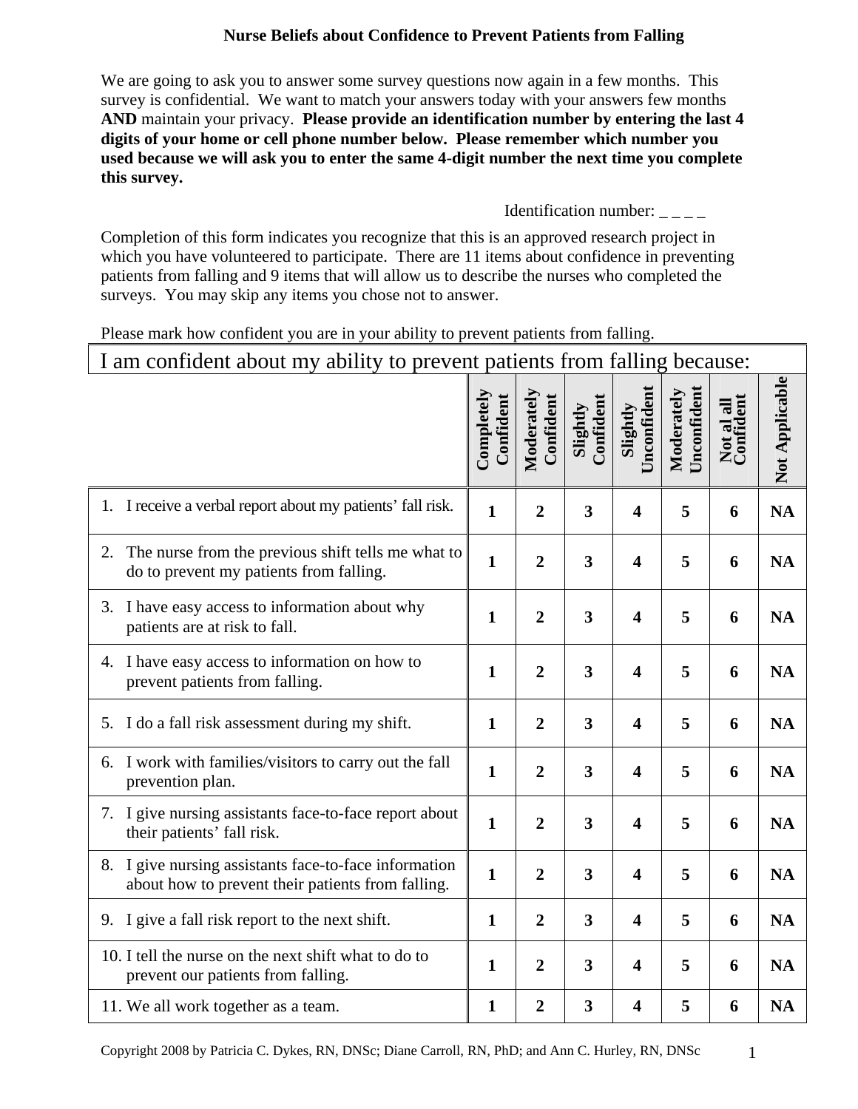### **Nurse Beliefs about Confidence to Prevent Patients from Falling**

We are going to ask you to answer some survey questions now again in a few months. This survey is confidential. We want to match your answers today with your answers few months **AND** maintain your privacy. **Please provide an identification number by entering the last 4 digits of your home or cell phone number below. Please remember which number you used because we will ask you to enter the same 4-digit number the next time you complete this survey.**

#### Identification number:  $\frac{1}{2}$

Completion of this form indicates you recognize that this is an approved research project in which you have volunteered to participate. There are 11 items about confidence in preventing patients from falling and 9 items that will allow us to describe the nurses who completed the surveys. You may skip any items you chose not to answer.

#### Please mark how confident you are in your ability to prevent patients from falling.

| I am confident about my ability to prevent patients from falling because:                                     |                         |                         |                         |                         |                           |                         |                |
|---------------------------------------------------------------------------------------------------------------|-------------------------|-------------------------|-------------------------|-------------------------|---------------------------|-------------------------|----------------|
|                                                                                                               | Completely<br>Confident | Moderately<br>Confident | Confident<br>Slightly   | Unconfident<br>Slightly | Unconfident<br>Moderately | Not al all<br>Confident | Not Applicable |
| 1. I receive a verbal report about my patients' fall risk.                                                    | $\mathbf{1}$            | $\overline{2}$          | $\overline{\mathbf{3}}$ | $\overline{\mathbf{4}}$ | 5                         | 6                       | <b>NA</b>      |
| The nurse from the previous shift tells me what to<br>2.<br>do to prevent my patients from falling.           | $\mathbf{1}$            | $\overline{2}$          | $\overline{\mathbf{3}}$ | $\overline{\mathbf{4}}$ | 5                         | 6                       | <b>NA</b>      |
| 3. I have easy access to information about why<br>patients are at risk to fall.                               | $\mathbf{1}$            | $\overline{2}$          | $\overline{\mathbf{3}}$ | $\overline{\mathbf{4}}$ | 5                         | 6                       | <b>NA</b>      |
| 4. I have easy access to information on how to<br>prevent patients from falling.                              | $\mathbf{1}$            | $\overline{2}$          | $\overline{\mathbf{3}}$ | $\overline{\mathbf{4}}$ | 5                         | 6                       | <b>NA</b>      |
| I do a fall risk assessment during my shift.<br>5.                                                            | $\mathbf{1}$            | $\overline{2}$          | 3                       | $\overline{\mathbf{4}}$ | 5                         | 6                       | <b>NA</b>      |
| 6. I work with families/visitors to carry out the fall<br>prevention plan.                                    | $\mathbf{1}$            | $\overline{2}$          | $\overline{\mathbf{3}}$ | $\overline{\mathbf{4}}$ | 5                         | 6                       | <b>NA</b>      |
| I give nursing assistants face-to-face report about<br>7.<br>their patients' fall risk.                       | $\mathbf{1}$            | $\overline{2}$          | 3                       | $\overline{\mathbf{4}}$ | 5                         | 6                       | <b>NA</b>      |
| I give nursing assistants face-to-face information<br>8.<br>about how to prevent their patients from falling. | $\mathbf{1}$            | $\overline{2}$          | $\overline{\mathbf{3}}$ | $\overline{\mathbf{4}}$ | 5                         | 6                       | <b>NA</b>      |
| 9. I give a fall risk report to the next shift.                                                               | $\mathbf{1}$            | $\boldsymbol{2}$        | 3                       | $\overline{\mathbf{4}}$ | 5                         | 6                       | <b>NA</b>      |
| 10. I tell the nurse on the next shift what to do to<br>prevent our patients from falling.                    | $\mathbf{1}$            | $\overline{2}$          | 3                       | $\overline{\mathbf{4}}$ | 5                         | 6                       | <b>NA</b>      |
| 11. We all work together as a team.                                                                           | $\mathbf{1}$            | $\overline{2}$          | $\overline{\mathbf{3}}$ | $\overline{\mathbf{4}}$ | 5                         | 6                       | <b>NA</b>      |